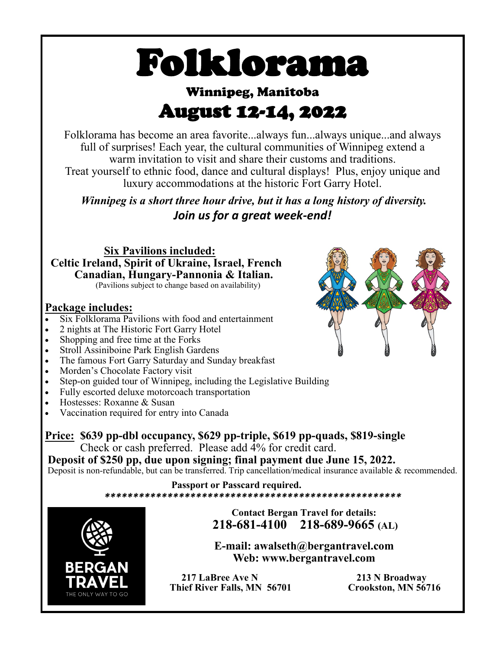# Folklorama

# Winnipeg, Manitoba August 12-14, 2022

Folklorama has become an area favorite...always fun...always unique...and always full of surprises! Each year, the cultural communities of Winnipeg extend a warm invitation to visit and share their customs and traditions. Treat yourself to ethnic food, dance and cultural displays! Plus, enjoy unique and luxury accommodations at the historic Fort Garry Hotel.

*Winnipeg is a short three hour drive, but it has a long history of diversity. Join us for a great week-end!*

**Six Pavilions included: Celtic Ireland, Spirit of Ukraine, Israel, French Canadian, Hungary-Pannonia & Italian.** (Pavilions subject to change based on availability)

# **Package includes:**

- Six Folklorama Pavilions with food and entertainment
- 2 nights at The Historic Fort Garry Hotel
- Shopping and free time at the Forks
- Stroll Assiniboine Park English Gardens
- The famous Fort Garry Saturday and Sunday breakfast
- Morden's Chocolate Factory visit
- Step-on guided tour of Winnipeg, including the Legislative Building
- Fully escorted deluxe motorcoach transportation
- Hostesses: Roxanne & Susan
- Vaccination required for entry into Canada

**Price: \$639 pp-dbl occupancy, \$629 pp-triple, \$619 pp-quads, \$819-single** Check or cash preferred. Please add 4% for credit card. **Deposit of \$250 pp, due upon signing; final payment due June 15, 2022.** 

Deposit is non-refundable, but can be transferred. Trip cancellation/medical insurance available & recommended.

 **Passport or Passcard required.**

*\*\*\*\*\*\*\*\*\*\*\*\*\*\*\*\*\*\*\*\*\*\*\*\*\*\*\*\*\*\*\*\*\*\*\*\*\*\*\*\*\*\*\*\*\*\*\*\*\*\*\*\**



**Contact Bergan Travel for details: 218-681-4100 218-689-9665 (AL)** 

**E-mail: awalseth@bergantravel.com Web: www.bergantravel.com** 

**217 LaBree Ave N 213 N Broadway Thief River Falls, MN 56701 Crookston, MN 56716**